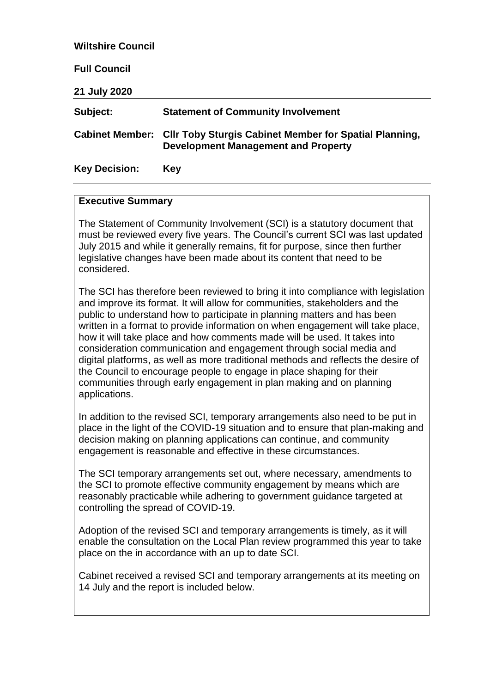| <b>Wiltshire Council</b> |                                                                                                               |
|--------------------------|---------------------------------------------------------------------------------------------------------------|
| <b>Full Council</b>      |                                                                                                               |
| 21 July 2020             |                                                                                                               |
| Subject:                 | <b>Statement of Community Involvement</b>                                                                     |
|                          | Cabinet Member: Cllr Toby Sturgis Cabinet Member for Spatial Planning,<br>Development Management and Property |
| <b>Key Decision:</b>     | Key                                                                                                           |

#### **Executive Summary**

The Statement of Community Involvement (SCI) is a statutory document that must be reviewed every five years. The Council's current SCI was last updated July 2015 and while it generally remains, fit for purpose, since then further legislative changes have been made about its content that need to be considered.

The SCI has therefore been reviewed to bring it into compliance with legislation and improve its format. It will allow for communities, stakeholders and the public to understand how to participate in planning matters and has been written in a format to provide information on when engagement will take place, how it will take place and how comments made will be used. It takes into consideration communication and engagement through social media and digital platforms, as well as more traditional methods and reflects the desire of the Council to encourage people to engage in place shaping for their communities through early engagement in plan making and on planning applications.

In addition to the revised SCI, temporary arrangements also need to be put in place in the light of the COVID-19 situation and to ensure that plan-making and decision making on planning applications can continue, and community engagement is reasonable and effective in these circumstances.

The SCI temporary arrangements set out, where necessary, amendments to the SCI to promote effective community engagement by means which are reasonably practicable while adhering to government guidance targeted at controlling the spread of COVID-19.

Adoption of the revised SCI and temporary arrangements is timely, as it will enable the consultation on the Local Plan review programmed this year to take place on the in accordance with an up to date SCI.

Cabinet received a revised SCI and temporary arrangements at its meeting on 14 July and the report is included below.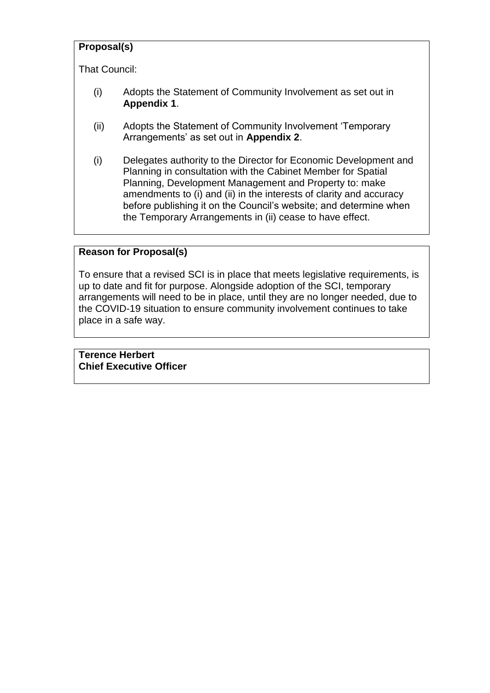# **Proposal(s)**

That Council:

- (i) Adopts the Statement of Community Involvement as set out in **Appendix 1**.
- (ii) Adopts the Statement of Community Involvement 'Temporary Arrangements' as set out in **Appendix 2**.
- (i) Delegates authority to the Director for Economic Development and Planning in consultation with the Cabinet Member for Spatial Planning, Development Management and Property to: make amendments to (i) and (ii) in the interests of clarity and accuracy before publishing it on the Council's website; and determine when the Temporary Arrangements in (ii) cease to have effect.

### **Reason for Proposal(s)**

To ensure that a revised SCI is in place that meets legislative requirements, is up to date and fit for purpose. Alongside adoption of the SCI, temporary arrangements will need to be in place, until they are no longer needed, due to the COVID-19 situation to ensure community involvement continues to take place in a safe way.

**Terence Herbert Chief Executive Officer**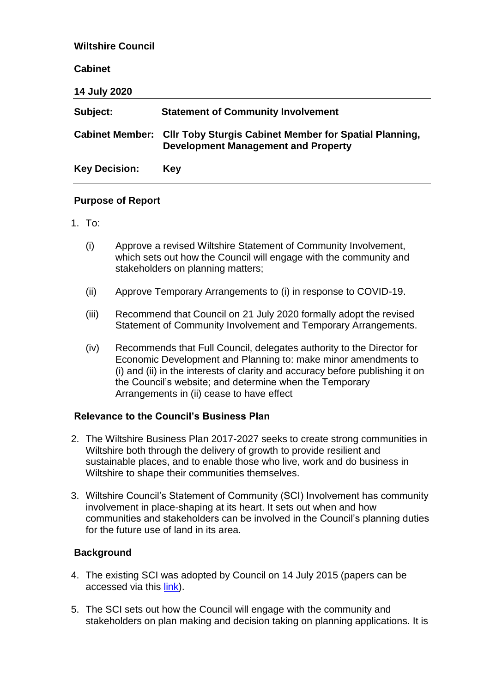| <b>Wiltshire Council</b> |                                                                                                             |
|--------------------------|-------------------------------------------------------------------------------------------------------------|
| <b>Cabinet</b>           |                                                                                                             |
| 14 July 2020             |                                                                                                             |
| Subject:                 | <b>Statement of Community Involvement</b>                                                                   |
| <b>Cabinet Member:</b>   | <b>CIIr Toby Sturgis Cabinet Member for Spatial Planning,</b><br><b>Development Management and Property</b> |
| <b>Key Decision:</b>     | Key                                                                                                         |

### **Purpose of Report**

- 1 To:
	- (i) Approve a revised Wiltshire Statement of Community Involvement, which sets out how the Council will engage with the community and stakeholders on planning matters;
	- (ii) Approve Temporary Arrangements to (i) in response to COVID-19.
	- (iii) Recommend that Council on 21 July 2020 formally adopt the revised Statement of Community Involvement and Temporary Arrangements.
	- (iv) Recommends that Full Council, delegates authority to the Director for Economic Development and Planning to: make minor amendments to (i) and (ii) in the interests of clarity and accuracy before publishing it on the Council's website; and determine when the Temporary Arrangements in (ii) cease to have effect

#### **Relevance to the Council's Business Plan**

- 2. The Wiltshire Business Plan 2017-2027 seeks to create strong communities in Wiltshire both through the delivery of growth to provide resilient and sustainable places, and to enable those who live, work and do business in Wiltshire to shape their communities themselves.
- 3. Wiltshire Council's Statement of Community (SCI) Involvement has community involvement in place-shaping at its heart. It sets out when and how communities and stakeholders can be involved in the Council's planning duties for the future use of land in its area.

#### **Background**

- 4. The existing SCI was adopted by Council on 14 July 2015 (papers can be accessed via this [link\)](https://cms.wiltshire.gov.uk/ieListDocuments.aspx?CId=141&MId=9629&Ver=4).
- 5. The SCI sets out how the Council will engage with the community and stakeholders on plan making and decision taking on planning applications. It is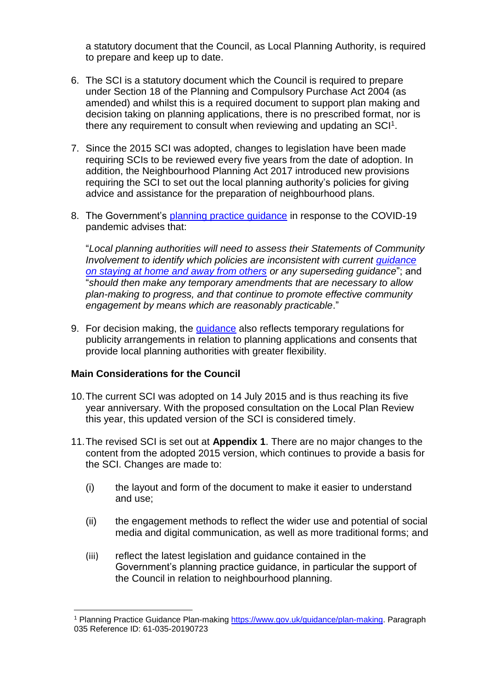a statutory document that the Council, as Local Planning Authority, is required to prepare and keep up to date.

- 6. The SCI is a statutory document which the Council is required to prepare under Section 18 of the Planning and Compulsory Purchase Act 2004 (as amended) and whilst this is a required document to support plan making and decision taking on planning applications, there is no prescribed format, nor is there any requirement to consult when reviewing and updating an  $SCI<sup>1</sup>$ .
- 7. Since the 2015 SCI was adopted, changes to legislation have been made requiring SCIs to be reviewed every five years from the date of adoption. In addition, the Neighbourhood Planning Act 2017 introduced new provisions requiring the SCI to set out the local planning authority's policies for giving advice and assistance for the preparation of neighbourhood plans.
- 8. The Government's [planning practice guidance](https://www.gov.uk/guidance/plan-making#covid19) in response to the COVID-19 pandemic advises that:

"*Local planning authorities will need to assess their Statements of Community Involvement to identify which policies are inconsistent with current [guidance](https://www.gov.uk/government/publications/staying-alert-and-safe-social-distancing/staying-alert-and-safe-social-distancing)  [on staying at home and away from others](https://www.gov.uk/government/publications/staying-alert-and-safe-social-distancing/staying-alert-and-safe-social-distancing) or any superseding guidance*"; and "*should then make any temporary amendments that are necessary to allow plan-making to progress, and that continue to promote effective community engagement by means which are reasonably practicable*."

9. For decision making, the [guidance](https://www.gov.uk/guidance/coronavirus-covid-19-planning-update#publicity-and-consultation-for-planning-applications) also reflects temporary regulations for publicity arrangements in relation to planning applications and consents that provide local planning authorities with greater flexibility.

# **Main Considerations for the Council**

1

- 10.The current SCI was adopted on 14 July 2015 and is thus reaching its five year anniversary. With the proposed consultation on the Local Plan Review this year, this updated version of the SCI is considered timely.
- 11.The revised SCI is set out at **Appendix 1**. There are no major changes to the content from the adopted 2015 version, which continues to provide a basis for the SCI. Changes are made to:
	- (i) the layout and form of the document to make it easier to understand and use;
	- (ii) the engagement methods to reflect the wider use and potential of social media and digital communication, as well as more traditional forms; and
	- (iii) reflect the latest legislation and guidance contained in the Government's planning practice guidance, in particular the support of the Council in relation to neighbourhood planning.

<sup>1</sup> Planning Practice Guidance Plan-making [https://www.gov.uk/guidance/plan-making.](https://www.gov.uk/guidance/plan-making) Paragraph 035 Reference ID: 61-035-20190723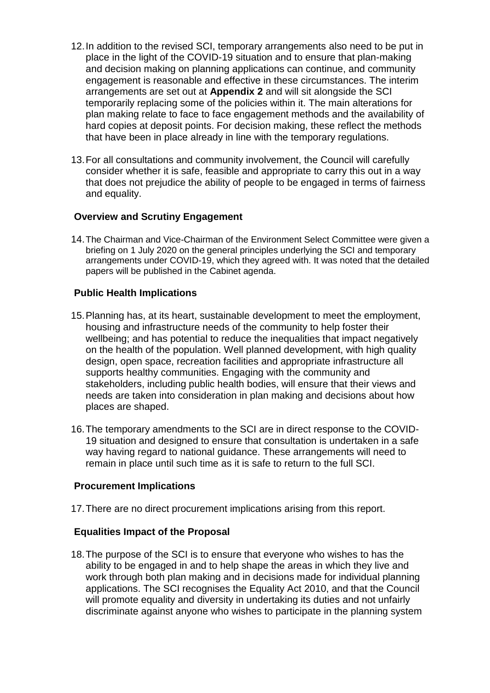- 12.In addition to the revised SCI, temporary arrangements also need to be put in place in the light of the COVID-19 situation and to ensure that plan-making and decision making on planning applications can continue, and community engagement is reasonable and effective in these circumstances. The interim arrangements are set out at **Appendix 2** and will sit alongside the SCI temporarily replacing some of the policies within it. The main alterations for plan making relate to face to face engagement methods and the availability of hard copies at deposit points. For decision making, these reflect the methods that have been in place already in line with the temporary regulations.
- 13.For all consultations and community involvement, the Council will carefully consider whether it is safe, feasible and appropriate to carry this out in a way that does not prejudice the ability of people to be engaged in terms of fairness and equality.

### **Overview and Scrutiny Engagement**

14.The Chairman and Vice-Chairman of the Environment Select Committee were given a briefing on 1 July 2020 on the general principles underlying the SCI and temporary arrangements under COVID-19, which they agreed with. It was noted that the detailed papers will be published in the Cabinet agenda.

#### **Public Health Implications**

- 15.Planning has, at its heart, sustainable development to meet the employment, housing and infrastructure needs of the community to help foster their wellbeing; and has potential to reduce the inequalities that impact negatively on the health of the population. Well planned development, with high quality design, open space, recreation facilities and appropriate infrastructure all supports healthy communities. Engaging with the community and stakeholders, including public health bodies, will ensure that their views and needs are taken into consideration in plan making and decisions about how places are shaped.
- 16.The temporary amendments to the SCI are in direct response to the COVID-19 situation and designed to ensure that consultation is undertaken in a safe way having regard to national guidance. These arrangements will need to remain in place until such time as it is safe to return to the full SCI.

#### **Procurement Implications**

17.There are no direct procurement implications arising from this report.

#### **Equalities Impact of the Proposal**

18.The purpose of the SCI is to ensure that everyone who wishes to has the ability to be engaged in and to help shape the areas in which they live and work through both plan making and in decisions made for individual planning applications. The SCI recognises the Equality Act 2010, and that the Council will promote equality and diversity in undertaking its duties and not unfairly discriminate against anyone who wishes to participate in the planning system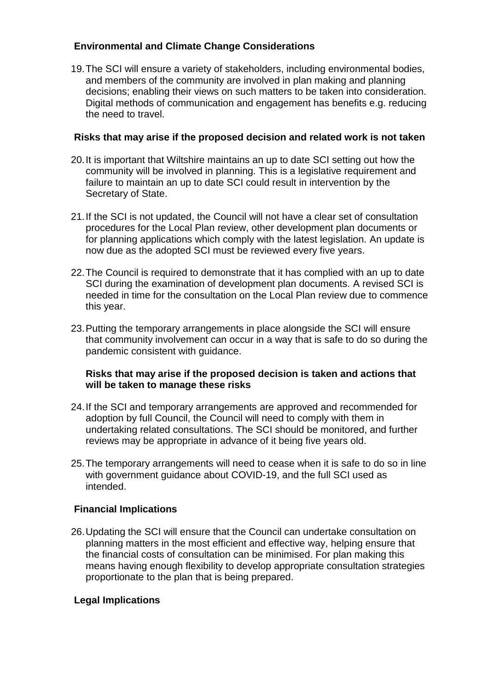# **Environmental and Climate Change Considerations**

19.The SCI will ensure a variety of stakeholders, including environmental bodies, and members of the community are involved in plan making and planning decisions; enabling their views on such matters to be taken into consideration. Digital methods of communication and engagement has benefits e.g. reducing the need to travel.

# **Risks that may arise if the proposed decision and related work is not taken**

- 20.It is important that Wiltshire maintains an up to date SCI setting out how the community will be involved in planning. This is a legislative requirement and failure to maintain an up to date SCI could result in intervention by the Secretary of State.
- 21.If the SCI is not updated, the Council will not have a clear set of consultation procedures for the Local Plan review, other development plan documents or for planning applications which comply with the latest legislation. An update is now due as the adopted SCI must be reviewed every five years.
- 22.The Council is required to demonstrate that it has complied with an up to date SCI during the examination of development plan documents. A revised SCI is needed in time for the consultation on the Local Plan review due to commence this year.
- 23.Putting the temporary arrangements in place alongside the SCI will ensure that community involvement can occur in a way that is safe to do so during the pandemic consistent with guidance.

### **Risks that may arise if the proposed decision is taken and actions that will be taken to manage these risks**

- 24.If the SCI and temporary arrangements are approved and recommended for adoption by full Council, the Council will need to comply with them in undertaking related consultations. The SCI should be monitored, and further reviews may be appropriate in advance of it being five years old.
- 25.The temporary arrangements will need to cease when it is safe to do so in line with government guidance about COVID-19, and the full SCI used as intended.

# **Financial Implications**

26.Updating the SCI will ensure that the Council can undertake consultation on planning matters in the most efficient and effective way, helping ensure that the financial costs of consultation can be minimised. For plan making this means having enough flexibility to develop appropriate consultation strategies proportionate to the plan that is being prepared.

# **Legal Implications**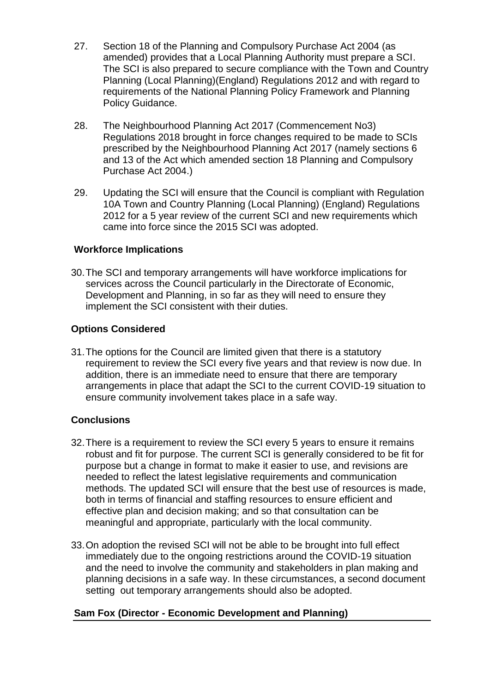- 27. Section 18 of the Planning and Compulsory Purchase Act 2004 (as amended) provides that a Local Planning Authority must prepare a SCI. The SCI is also prepared to secure compliance with the Town and Country Planning (Local Planning)(England) Regulations 2012 and with regard to requirements of the National Planning Policy Framework and Planning Policy Guidance.
- 28. The Neighbourhood Planning Act 2017 (Commencement No3) Regulations 2018 brought in force changes required to be made to SCIs prescribed by the Neighbourhood Planning Act 2017 (namely sections 6 and 13 of the Act which amended section 18 Planning and Compulsory Purchase Act 2004.)
- 29. Updating the SCI will ensure that the Council is compliant with Regulation 10A Town and Country Planning (Local Planning) (England) Regulations 2012 for a 5 year review of the current SCI and new requirements which came into force since the 2015 SCI was adopted.

#### **Workforce Implications**

30.The SCI and temporary arrangements will have workforce implications for services across the Council particularly in the Directorate of Economic, Development and Planning, in so far as they will need to ensure they implement the SCI consistent with their duties.

### **Options Considered**

31.The options for the Council are limited given that there is a statutory requirement to review the SCI every five years and that review is now due. In addition, there is an immediate need to ensure that there are temporary arrangements in place that adapt the SCI to the current COVID-19 situation to ensure community involvement takes place in a safe way.

# **Conclusions**

- 32.There is a requirement to review the SCI every 5 years to ensure it remains robust and fit for purpose. The current SCI is generally considered to be fit for purpose but a change in format to make it easier to use, and revisions are needed to reflect the latest legislative requirements and communication methods. The updated SCI will ensure that the best use of resources is made, both in terms of financial and staffing resources to ensure efficient and effective plan and decision making; and so that consultation can be meaningful and appropriate, particularly with the local community.
- 33.On adoption the revised SCI will not be able to be brought into full effect immediately due to the ongoing restrictions around the COVID-19 situation and the need to involve the community and stakeholders in plan making and planning decisions in a safe way. In these circumstances, a second document setting out temporary arrangements should also be adopted.

# **Sam Fox (Director - Economic Development and Planning)**